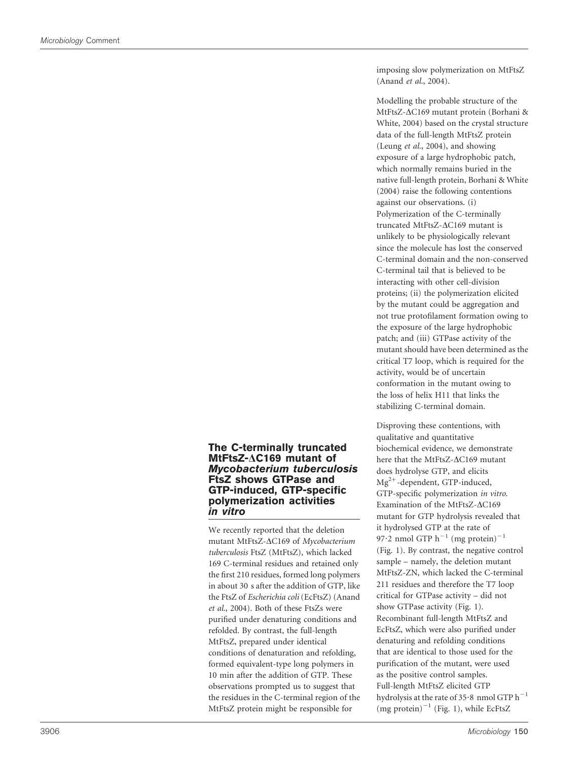imposing slow polymerization on MtFtsZ (Anand et al., 2004).

Modelling the probable structure of the MtFtsZ-ΔC169 mutant protein (Borhani & White, 2004) based on the crystal structure data of the full-length MtFtsZ protein (Leung et al., 2004), and showing exposure of a large hydrophobic patch, which normally remains buried in the native full-length protein, Borhani & White (2004) raise the following contentions against our observations. (i) Polymerization of the C-terminally truncated MtFtsZ- $\Delta$ C169 mutant is unlikely to be physiologically relevant since the molecule has lost the conserved C-terminal domain and the non-conserved C-terminal tail that is believed to be interacting with other cell-division proteins; (ii) the polymerization elicited by the mutant could be aggregation and not true protofilament formation owing to the exposure of the large hydrophobic patch; and (iii) GTPase activity of the mutant should have been determined as the critical T7 loop, which is required for the activity, would be of uncertain conformation in the mutant owing to the loss of helix H11 that links the stabilizing C-terminal domain.

## The C-terminally truncated MtFtsZ- $\Delta$ C169 mutant of Mycobacterium tuberculosis FtsZ shows GTPase and GTP-induced, GTP-specific polymerization activities in vitro

We recently reported that the deletion mutant MtFtsZ- $\Delta$ C169 of Mycobacterium tuberculosis FtsZ (MtFtsZ), which lacked 169 C-terminal residues and retained only the first 210 residues, formed long polymers in about 30 s after the addition of GTP, like the FtsZ of Escherichia coli (EcFtsZ) (Anand et al., 2004). Both of these FtsZs were purified under denaturing conditions and refolded. By contrast, the full-length MtFtsZ, prepared under identical conditions of denaturation and refolding, formed equivalent-type long polymers in 10 min after the addition of GTP. These observations prompted us to suggest that the residues in the C-terminal region of the MtFtsZ protein might be responsible for

Disproving these contentions, with qualitative and quantitative biochemical evidence, we demonstrate here that the MtFtsZ-AC169 mutant does hydrolyse GTP, and elicits  $Mg^{2+}$ -dependent, GTP-induced, GTP-specific polymerization in vitro. Examination of the MtFtsZ- $\Delta$ C169 mutant for GTP hydrolysis revealed that it hydrolysed GTP at the rate of 97.2 nmol GTP  $h^{-1}$  (mg protein)<sup>-1</sup> (Fig. 1). By contrast, the negative control sample – namely, the deletion mutant MtFtsZ-ZN, which lacked the C-terminal 211 residues and therefore the T7 loop critical for GTPase activity – did not show GTPase activity (Fig. 1). Recombinant full-length MtFtsZ and EcFtsZ, which were also purified under denaturing and refolding conditions that are identical to those used for the purification of the mutant, were used as the positive control samples. Full-length MtFtsZ elicited GTP hydrolysis at the rate of 35 $\cdot$ 8 nmol GTP h<sup>-1</sup>  $(mg)$  protein)<sup>-1</sup> (Fig. 1), while EcFtsZ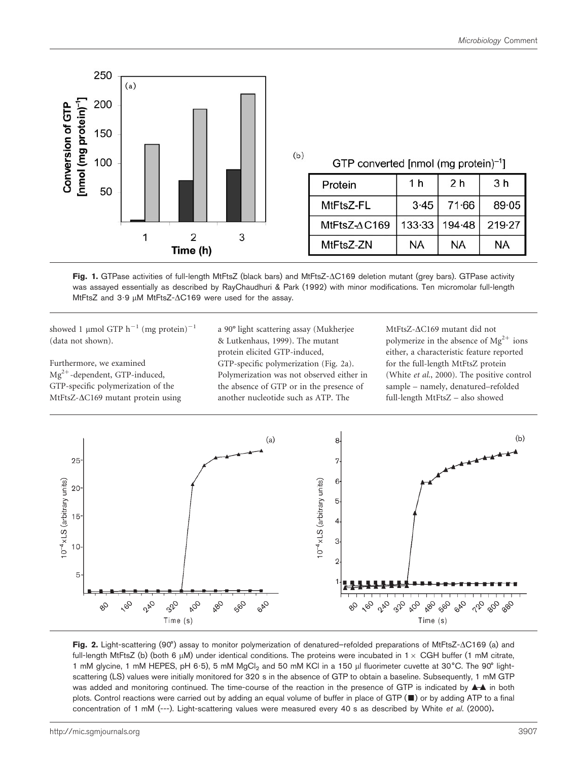

| GTP converted [nmol (mg protein) <sup>-1</sup> ] |  |
|--------------------------------------------------|--|
|--------------------------------------------------|--|

| Protein      | 1 h    | 2 <sub>h</sub> | 3 <sub>h</sub> |
|--------------|--------|----------------|----------------|
| MtFtsZ-FL    | $3-45$ | 71.66          | $89 - 05$      |
| MtFtsZ-AC169 |        | 133-33 194-48  | 219.27         |
| MtFtsZ-ZN    | NA     | NA             | ΝA             |

Fig. 1. GTPase activities of full-length MtFtsZ (black bars) and MtFtsZ- $\Delta$ C169 deletion mutant (grey bars). GTPase activity was assayed essentially as described by RayChaudhuri & Park (1992) with minor modifications. Ten micromolar full-length MtFtsZ and  $3.9 \mu M$  MtFtsZ- $\Delta$ C169 were used for the assay.

 $(b)$ 

showed 1 µmol GTP  $h^{-1}$  (mg protein)<sup>-1</sup> (data not shown).

Furthermore, we examined  $Mg^{2+}$ -dependent, GTP-induced, GTP-specific polymerization of the MtFtsZ- $\Delta$ C169 mutant protein using a 90˚light scattering assay (Mukherjee & Lutkenhaus, 1999). The mutant protein elicited GTP-induced, GTP-specific polymerization (Fig. 2a). Polymerization was not observed either in the absence of GTP or in the presence of another nucleotide such as ATP. The

MtFtsZ- $\Delta$ C169 mutant did not polymerize in the absence of  $Mg^{2+}$  ions either, a characteristic feature reported for the full-length MtFtsZ protein (White et al., 2000). The positive control sample – namely, denatured–refolded full-length MtFtsZ – also showed



Fig. 2. Light-scattering (90°) assay to monitor polymerization of denatured–refolded preparations of MtFtsZ- $\Delta$ C169 (a) and full-length MtFtsZ (b) (both 6 µM) under identical conditions. The proteins were incubated in 1 × CGH buffer (1 mM citrate, 1 mM glycine, 1 mM HEPES, pH 6.5), 5 mM MgCl<sub>2</sub> and 50 mM KCl in a 150 µl fluorimeter cuvette at 30°C. The 90° lightscattering (LS) values were initially monitored for 320 s in the absence of GTP to obtain a baseline. Subsequently, 1 mM GTP was added and monitoring continued. The time-course of the reaction in the presence of GTP is indicated by  $\blacktriangle^*$  in both plots. Control reactions were carried out by adding an equal volume of buffer in place of GTP ( $\blacksquare$ ) or by adding ATP to a final concentration of 1 mM (---). Light-scattering values were measured every 40 s as described by White et al. (2000).